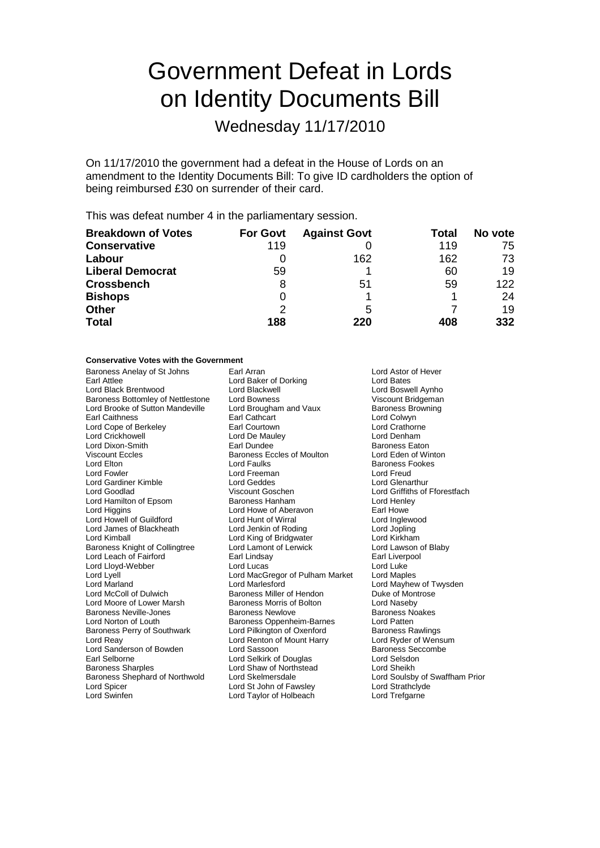# Government Defeat in Lords on Identity Documents Bill

Wednesday 11/17/2010

On 11/17/2010 the government had a defeat in the House of Lords on an amendment to the Identity Documents Bill: To give ID cardholders the option of being reimbursed £30 on surrender of their card.

This was defeat number 4 in the parliamentary session.

| <b>Breakdown of Votes</b> | <b>For Govt</b> | <b>Against Govt</b> | Total | No vote |
|---------------------------|-----------------|---------------------|-------|---------|
| <b>Conservative</b>       | 119             |                     | 119   | 75      |
| Labour                    |                 | 162                 | 162   | 73      |
| <b>Liberal Democrat</b>   | 59              |                     | 60    | 19      |
| <b>Crossbench</b>         | 8               | 51                  | 59    | 122     |
| <b>Bishops</b>            |                 |                     |       | 24      |
| <b>Other</b>              | 2               | 5                   |       | 19      |
| <b>Total</b>              | 188             | 220                 | 408   | 332     |

## **Conservative Votes with the Government**

| Baroness Anelay of St Johns           | Earl Arran                          | Lord Astor of Hever            |
|---------------------------------------|-------------------------------------|--------------------------------|
| Earl Attlee                           | Lord Baker of Dorking<br>Lord Bates |                                |
| Lord Black Brentwood                  | Lord Blackwell                      | Lord Boswell Aynho             |
| Baroness Bottomley of Nettlestone     | Lord Bowness                        | Viscount Bridgeman             |
| Lord Brooke of Sutton Mandeville      | Lord Brougham and Vaux              | <b>Baroness Browning</b>       |
| Earl Caithness                        | Earl Cathcart                       | Lord Colwyn                    |
| Lord Cope of Berkeley                 | Earl Courtown                       | <b>Lord Crathorne</b>          |
| Lord Crickhowell                      | Lord De Mauley                      | Lord Denham                    |
| Lord Dixon-Smith                      | Earl Dundee                         | <b>Baroness Eaton</b>          |
| Viscount Eccles                       | <b>Baroness Eccles of Moulton</b>   | Lord Eden of Winton            |
| Lord Elton                            | Lord Faulks                         | <b>Baroness Fookes</b>         |
| Lord Fowler                           | Lord Freeman                        | Lord Freud                     |
| Lord Gardiner Kimble                  | Lord Geddes                         | Lord Glenarthur                |
| Lord Goodlad                          | Viscount Goschen                    | Lord Griffiths of Fforestfach  |
| Lord Hamilton of Epsom                | Baroness Hanham                     | Lord Henley                    |
| Lord Higgins                          | Lord Howe of Aberavon               | Earl Howe                      |
| Lord Howell of Guildford              | Lord Hunt of Wirral                 | Lord Inglewood                 |
| Lord James of Blackheath              | Lord Jenkin of Roding               | Lord Jopling                   |
| Lord Kimball                          | Lord King of Bridgwater             | Lord Kirkham                   |
| <b>Baroness Knight of Collingtree</b> | Lord Lamont of Lerwick              | Lord Lawson of Blaby           |
| Lord Leach of Fairford                | Earl Lindsay                        | Earl Liverpool                 |
| Lord Lloyd-Webber                     | Lord Lucas                          | Lord Luke                      |
| Lord Lyell                            | Lord MacGregor of Pulham Market     | Lord Maples                    |
| Lord Marland                          | <b>Lord Marlesford</b>              | Lord Mayhew of Twysden         |
| Lord McColl of Dulwich                | Baroness Miller of Hendon           | Duke of Montrose               |
| Lord Moore of Lower Marsh             | Baroness Morris of Bolton           | Lord Naseby                    |
| Baroness Neville-Jones                | <b>Baroness Newlove</b>             | <b>Baroness Noakes</b>         |
| Lord Norton of Louth                  | Baroness Oppenheim-Barnes           | Lord Patten                    |
| Baroness Perry of Southwark           | Lord Pilkington of Oxenford         | <b>Baroness Rawlings</b>       |
| Lord Reay                             | Lord Renton of Mount Harry          | Lord Ryder of Wensum           |
| Lord Sanderson of Bowden              | Lord Sassoon                        | <b>Baroness Seccombe</b>       |
| Earl Selborne                         | Lord Selkirk of Douglas             | Lord Selsdon                   |
| Baroness Sharples                     | Lord Shaw of Northstead             | Lord Sheikh                    |
| Baroness Shephard of Northwold        | Lord Skelmersdale                   | Lord Soulsby of Swaffham Prior |
| Lord Spicer                           | Lord St John of Fawsley             | Lord Strathclyde               |
| Lord Swinfen                          | Lord Taylor of Holbeach             | Lord Trefgarne                 |
|                                       |                                     |                                |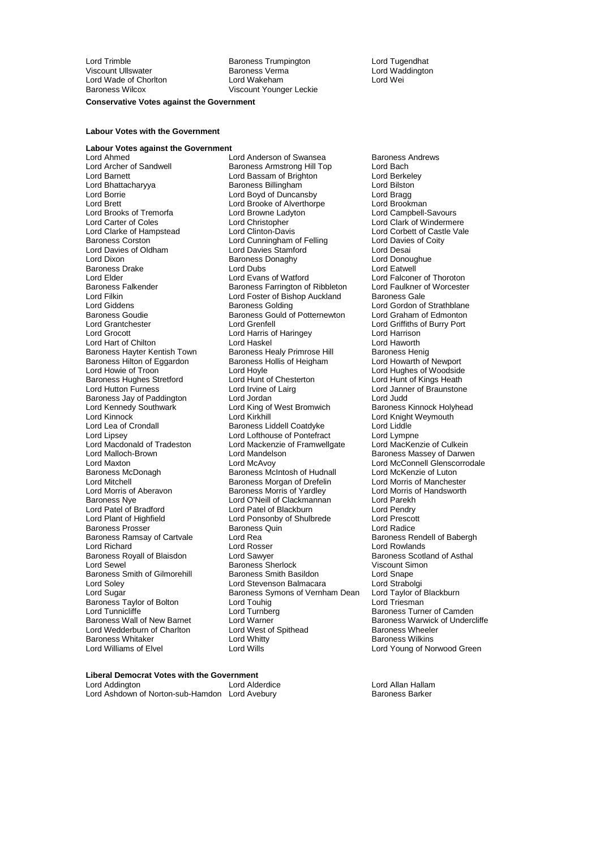Lord Wade of Chorlton<br>Baroness Wilcox

Lord Trimble **Communist Communist Communist Communist Communist Communist Communist Communist Communist Communist Communist Communist Communist Communist Communist Communist Communist Communist Communist Communist Communis** Viscount Ullswater Baroness Verma Lord Waddington Viscount Younger Leckie

#### **Conservative Votes against the Government**

### **Labour Votes with the Government**

#### **Labour Votes against the Government**

Lord Brooks of Tremorfa Lord Browne Lad<br>
Lord Carter of Coles<br>
Lord Christopher Baroness Drake Lord Dubs<br>
Lord Elder Lord Evans of Watford Baroness Hilton of Eggardon Baroness Hollis Cord Howarth Lord Hovle Baroness Hughes Stretford Lord Plant of Highfield Lord Ponsonby of Shulbrede Baroness Ramsay of Cartvale Lord Rea<br>Lord Richard **Baroness Rendell Cord Rosser** Baroness Taylor of Bolton Lord Touhig<br>
Lord Tunnicliffe bord Turnberg **Baroness Whitaker Lord Whitter Lord White Baroness Whitaker Lord Wills**<br>**Lord Williams of Flyel** 

Lord Ahmed<br>
Lord Archer of Sandwell **Lord Anderson of Swansea** Baroness Andrews<br>
Baroness Armstrong Hill Top Lord Bach Lord Archer of Sandwell **Baroness Armstrong Hill Top** Lord Bach<br>
Lord Barnett Lord Bach Lord Bassam of Brighton Lord Berkelev Lord Bassam of Brighton Lord Berkele<br>Baroness Billingham Lord Bilston Lord Bhattacharyya **Baroness Billingham** Lord Bilston<br>Lord Borrie **Lord Billingham** Lord Boyd of Duncansby Lord Bragg Lord Boyd of Duncansby Lord Bragg<br>
Lord Brett Lord Brooke of Alverthorpe Lord Brookman<br>
Lord Brookman Lord Brooke of Alverthorpe Lord Brookman<br>
Lord Browne Ladyton Lord Campbell-Savours Lord Carter of Coles **Lord Christopher**<br>
Lord Clark of Hampstead Lord Clinton-Davis **Lord Corpused Lord Corpused Clark** Lord Corpused Lord Corpused Lord Clark of Castle Vale Lord Clarke of Hampstead Lord Clinton-Davis Lord Corbett of Castle Vale<br>
Lord Corbett of Corston Lord Cunningham of Felling Lord Davies of Coitv Baroness Corston **Lord Cunningham of Felling** Lord Davies<br>
Lord Davies of Coldham Lord Davies Stamford Lord Desai Lord Davies of Oldham Lord Davies Stamford<br>
Lord Dixon Lord Davies Donaghy Lord Donoughue<br>
Baroness Donaghy Lord Donoughue Baroness Donaghy **Lord Donoughuess Donaghy** Lord Donoughues<br>
Lord Dubs Lord Elder Lord Evans of Watford Lord Evans Communication Lord Falconer of Thoroton<br>
Baroness Falkender Baroness Farrington of Ribbleton Lord Faulkner of Worcester Baroness Farrington of Ribbleton Lord Filkin Lord Foster of Bishop Auckland Baroness Gale Lord Giddens **Baroness Golding Community** Lord Gordon of Strathblane<br>Baroness Goudie **Baroness Gould of Potternewton** Lord Graham of Edmonton Baroness Gould of Potternewton Lord Grantchester **Lord Grentell** Lord Grenfell Lord Grentel Lord Griffiths of Burry Port<br>
Lord Grocott **Lord Harris of Haringev** Lord Harrison Lord Harris of Haringey **Lord Harrison**<br>
Lord Haskel Cord Harrison Lord Hart of Chilton **Lord Haskel** Lord Haskel Lord Haworth Lord Haworth Lord Haworth Lord Haworth Lord Haworth Baroness Henig Baroness Hayter Kentish Town Baroness Healy Primrose Hill Baroness Henig<br>Baroness Hilton of Eggardon Baroness Hollis of Heigham Lord Howarth of Newport Lord Hoyle <sup>o</sup> Lord Hughes of Woodside<br>
Lord Hunt of Chesterton<br>
Lord Hunt of Kings Heath Lord Hutton Furness Lord Irvine of Lairg Lord Janner of Braunstone Baroness Jay of Paddington Lord Jordan Lord The Lord Judd<br>
Lord Kennedy Southwark Lord King of West Bromwich Baroness Kinnock Holyhead Lord King of West Bromwich Lord Kinnock Lord Kirkhill Lord Knight Weymouth Lord Lea of Crondall **Baroness Liddell Coatdyke** Lord Liddle<br>
Lord Lipsey Lord Lord Lord Lord Lord Lord Lympne Lord Lipsey<br>
Lord Macdonald of Tradeston Lord Mackenzie of Framwellgate Lord MacKenzie of Culkein Lord Macdonald of Tradeston Lord Mackenzie of Framwellgate<br>Lord Malloch-Brown Lord Mandelson Lord Maxton Lord McAvoy Lord McAvoy Lord McConnell Glenscorrodale<br>
Baroness McDonagh Caroness McIntosh of Hudnall Lord McKenzie of Luton Baroness McDonagh Baroness McIntosh of Hudnall Lord McKenzie of Luton<br>
Lord Mitchell Cord Morris of Manchester<br>
Lord Morris of Manchester Lord Mitchell **Baroness Morgan of Drefelin** Lord Morris of Manchester<br>
Lord Morris of Aberavon **Baroness Morris of Yardley** Lord Morris of Handsworth Lord Morris of Aberavon **Baroness Morris of Yardley** Lord Morris of Yardley Lord Morris of Yardley Corress Morris of Yardley Corress Morris of Yardley Corress Morris of Yardley Baroness Nye Baroness Nye **Communist Clackmannan Communist Clackmannan** Lord Parekh<br>
Lord Patel of Bradford **Communist Lord Patel of Blackburn** Lord Pendry Lord Patel of Blackburn Lord Pendry<br>
Lord Ponsonby of Shulbrede Lord Prescott Baroness Prosser Baroness Quin Lord Radice Lord Richard Corresponding Lord Rosser Corresponding Lord Rowlands<br>
Express Royall of Blaisdon Corresponding Lord Sawyer Corresponding Baroness Scotla Lord Sawyer **Baroness Scotland of Asthal** Lord Sewel **Communist Communist Communist Communist Communist Communist Communist Communist Communist Communist Communist Communist Communist Communist Communist Communist Communist Communist Communist Communist Communist** Baroness Smith of Gilmorehill Baroness Smith Basildon blood Snape<br>Lord Solev Lord Stevenson Balmacara Lord Strabolgi Lord Stevenson Balmacara **Lord Strabolgi**<br>Baroness Symons of Vernham Dean Lord Taylor of Blackburn Lord Sugar **Baroness Symons of Vernham Dean** Lord Taylor of I<br>Baroness Taylor of Bolton **Lord Touhig** Lord Touhig Lord Tunnicliffe Lord Turnberg Communicative Camden<br>
Baroness Wall of New Barnet Lord Warner Communicative Communicative Survey Communicative of Underc Lord Warner Theory Caroliness Warwick of Undercliffe<br>
Lord West of Spithead<br>
Baroness Wheeler Lord Wedderburn of Charlton and Lord West of Spithead and Baroness Wheeler<br>Baroness Whitaker and Lord Whitty Cord Whitty Baroness Wilkins

Baroness Massey of Darwen Lord Young of Norwood Green

# **Liberal Democrat Votes with the Government**

Lord Ashdown of Norton-sub-Hamdon Lord Avebury **Baroness Barker** 

Lord Allan Hallam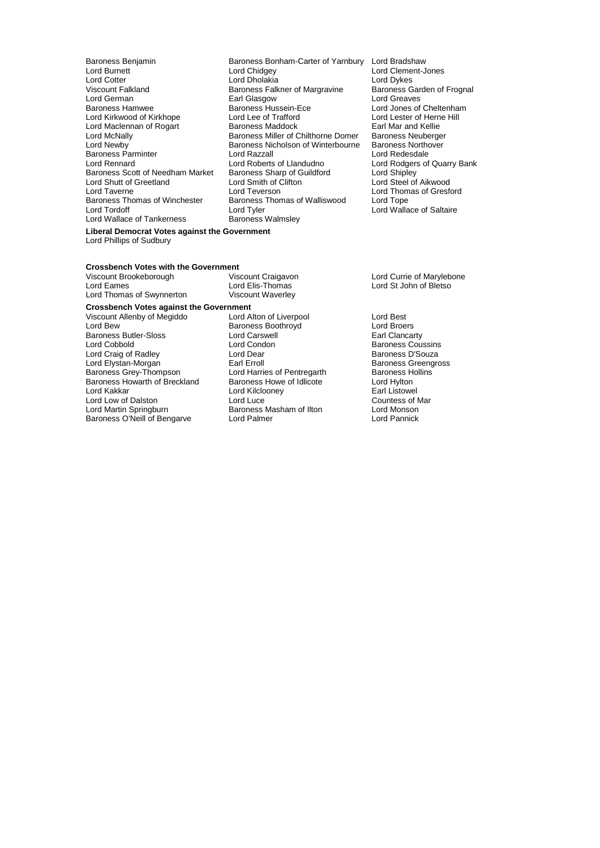Lord German<br>Baroness Hamwee Cornel Baroness Hussein-Ece Lord Newby<br>Baroness Parminter Baroness Nicholson of Wini<br>Lord Reazall<br>Lord Rennard Lord Roberts of Llandudno Lord Shutt of Greetland Lord Smith of Clifton Lord Taverne<br>
Lord Taverne Lord Teverson Baroness Thomas of Winchester Baroness Thomas of Walliswood<br>
Lord Tordoff Cord Tyler Lord Wallace of Tankerness

Baroness Benjamin Baroness Bonham-Carter of Yarnbury Lord Bradshaw<br>Lord Burnett Lord Chidgey Lord Clement-J Lord Burnett in the Lord Chidgey Cord Clement-Jones<br>
Lord Cotter Cord Cord Cholakia Lord Dholakia Lord Dykes Lord Cotter **Lord Dividity Collection**<br>
Lord Dykes Lord Dykes<br>
Viscount Falkland **Collection Control Baroness Carden Collection**<br>
Baroness Carden of Frognal Viscount Falkland **Baroness Falkner of Margravine** Baroness Garden Baroness Garden of Margravine Baroness Garden<br>Lord Greaves **Earl Glasgow** Baroness Card Baroness Hussein-Ece Lord Jones of Cheltenham<br>
Lord Lee of Trafford
Lord Lester of Herne Hill Lord Kirkwood of Kirkhope Lord Lee of Trafford Lord Lester of Hern<br>
Lord Maclennan of Rogart Baroness Maddock Earl Mar and Kellie Lord Maclennan of Rogart **Baroness Maddock** Earl Mar and Kellie<br>Lord McNally Baroness Miller of Chilthorne Domer Baroness Neuberger Baroness Miller of Chilthorne Domer Baroness Neuberger<br>Baroness Nicholson of Winterbourne Baroness Northover Baroness Nicholson of Winterbourne Baroness Northover<br>Lord Razzall **Baroness** Lord Redesdale Lord Roberts of Llandudno<br>
Lord Rodgers of Quarry Bank<br>
Baroness Sharp of Guildford Lord Shipley Baroness Scott of Needham Market Baroness Sharp of Guildford Lord Shipley<br>
Lord Shutt of Greetland Lord Smith of Clifton Lord Steel of Aikwood Lord Taverne **Lord Teverson**<br>
Baroness Thomas of Winchester Baroness Thomas of Walliswood Lord Tope<br>
Lord Tope Lord Tyler<br>Baroness Walmsley Lord Wallace of Saltaire

# **Liberal Democrat Votes against the Government** Lord Phillips of Sudbury

# **Crossbench Votes with the Government<br>Viscount Brookeborough Viscount Craigavon**

Lord Thomas of Swynnerton **Crossbench Votes against the Government** Viscount Allenby of Megiddo<br>
Lord Bew Baroness Boothroyd Lord Broers<br>
Lord Broers Baroness Butler-Sloss Lord Cobbold **Lord Condon**<br>
Lord Craig of Radley **Lord Dear**<br>
Lord Dear **Baroness D'Souza** Lord Craig of Radley **Lord Dear State Corporation**<br>
Lord Elystan-Morgan **Carl Exil Exil Erroll** Carl Erroll **Baroness Greengross** Lord Elystan-Morgan<br>Baroness Grey-Thompson Baroness Howarth of Breckland Baroness Howe of Idlicote Cord Hylton<br>Lord Kakkar Cord Kilclooney Lord Kilcloonev Lord Low of Dalston Lord Luce Counter Counter Counter Counter Counter Counter Counter Counter Counter Counter<br>Counter Counter Counter Counter Counter Counter Counter Counter Counter Counter Counter Counter Counter Counter

Baroness O'Neill of Bengarve

Lord Elis-Thomas Lord St John of Bletso<br>Viscount Waverley **Baroness Boothroyd Lord Broers**<br>
Lord Carswell **Lord Carswell Example 1** Lord Harries of Pentregarth Baroness Hollins<br>Baroness Howe of Idlicote **Baroness Lord Hylton** Lord Kilclooney **Earl Listowel**<br>
Lord Luce **Countess of Mar** Lord Martin Springburn **Baroness Masham of Ilton** Lord Monson<br>Baroness O'Neill of Bengarve **Lord Palmer** Lord Pannick

Viscount Brookeborough Viscount Craigavon<br>
Lord Currie of Marylebone<br>
Lord Cames
Lord Currie of Bletso